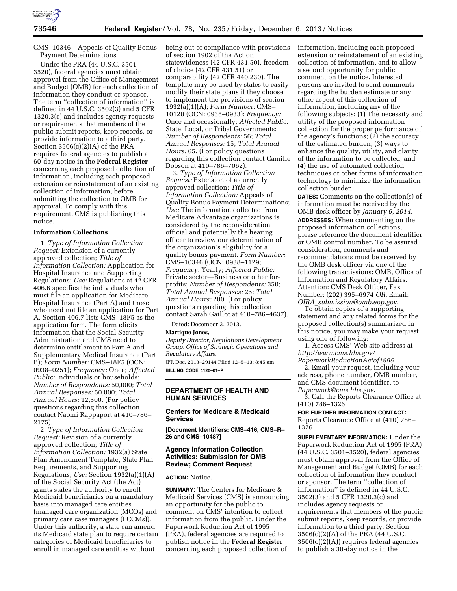

CMS–10346 Appeals of Quality Bonus Payment Determinations

Under the PRA (44 U.S.C. 3501– 3520), federal agencies must obtain approval from the Office of Management and Budget (OMB) for each collection of information they conduct or sponsor. The term ''collection of information'' is defined in 44 U.S.C. 3502(3) and 5 CFR 1320.3(c) and includes agency requests or requirements that members of the public submit reports, keep records, or provide information to a third party. Section 3506(c)(2)(A) of the PRA requires federal agencies to publish a 60-day notice in the **Federal Register**  concerning each proposed collection of information, including each proposed extension or reinstatement of an existing collection of information, before submitting the collection to OMB for approval. To comply with this requirement, CMS is publishing this notice.

# **Information Collections**

1. *Type of Information Collection Request:* Extension of a currently approved collection; *Title of Information Collection:* Application for Hospital Insurance and Supporting Regulations; *Use:* Regulations at 42 CFR 406.6 specifies the individuals who must file an application for Medicare Hospital Insurance (Part A) and those who need not file an application for Part A. Section 406.7 lists CMS–18F5 as the application form. The form elicits information that the Social Security Administration and CMS need to determine entitlement to Part A and Supplementary Medical Insurance (Part B); *Form Number:* CMS–18F5 (OCN: 0938–0251); *Frequency:* Once; *Affected Public:* Individuals or households; *Number of Respondents:* 50,000; *Total Annual Responses:* 50,000; *Total Annual Hours:* 12,500. (For policy questions regarding this collection contact Naomi Rappaport at 410–786– 2175).

2. *Type of Information Collection Request:* Revision of a currently approved collection; *Title of Information Collection:* 1932(a) State Plan Amendment Template, State Plan Requirements, and Supporting Regulations; *Use:* Section 1932(a)(1)(A) of the Social Security Act (the Act) grants states the authority to enroll Medicaid beneficiaries on a mandatory basis into managed care entities (managed care organization (MCOs) and primary care case managers (PCCMs)). Under this authority, a state can amend its Medicaid state plan to require certain categories of Medicaid beneficiaries to enroll in managed care entities without

being out of compliance with provisions of section 1902 of the Act on statewideness (42 CFR 431.50), freedom of choice (42 CFR 431.51) or comparability (42 CFR 440.230). The template may be used by states to easily modify their state plans if they choose to implement the provisions of section 1932(a)(1)(A); *Form Number:* CMS– 10120 (OCN: 0938–0933); *Frequency:*  Once and occasionally; *Affected Public:*  State, Local, or Tribal Governments; *Number of Respondents:* 56; *Total Annual Responses:* 15; *Total Annual Hours:* 65. (For policy questions regarding this collection contact Camille Dobson at 410–786–7062).

3. *Type of Information Collection Request:* Extension of a currently approved collection; *Title of Information Collection:* Appeals of Quality Bonus Payment Determinations; *Use:* The information collected from Medicare Advantage organizations is considered by the reconsideration official and potentially the hearing officer to review our determination of the organization's eligibility for a quality bonus payment. *Form Number:*  CMS–10346 (OCN: 0938–1129; *Frequency:* Yearly; *Affected Public:*  Private sector—Business or other forprofits; *Number of Respondents:* 350; *Total Annual Responses:* 25; *Total Annual Hours:* 200. (For policy questions regarding this collection contact Sarah Gaillot at 410–786–4637).

Dated: December 3, 2013.

### **Martique Jones,**

*Deputy Director, Regulations Development Group, Office of Strategic Operations and Regulatory Affairs.*  [FR Doc. 2013–29144 Filed 12–5–13; 8:45 am] **BILLING CODE 4120–01–P** 

## **DEPARTMENT OF HEALTH AND HUMAN SERVICES**

## **Centers for Medicare & Medicaid Services**

**[Document Identifiers: CMS–416, CMS–R– 26 and CMS–10487]** 

# **Agency Information Collection Activities: Submission for OMB Review; Comment Request**

## **ACTION:** Notice.

**SUMMARY:** The Centers for Medicare & Medicaid Services (CMS) is announcing an opportunity for the public to comment on CMS' intention to collect information from the public. Under the Paperwork Reduction Act of 1995 (PRA), federal agencies are required to publish notice in the **Federal Register**  concerning each proposed collection of

information, including each proposed extension or reinstatement of an existing collection of information, and to allow a second opportunity for public comment on the notice. Interested persons are invited to send comments regarding the burden estimate or any other aspect of this collection of information, including any of the following subjects: (1) The necessity and utility of the proposed information collection for the proper performance of the agency's functions; (2) the accuracy of the estimated burden; (3) ways to enhance the quality, utility, and clarity of the information to be collected; and (4) the use of automated collection techniques or other forms of information technology to minimize the information collection burden.

**DATES:** Comments on the collection(s) of information must be received by the OMB desk officer by *January 6, 2014.*  **ADDRESSES:** When commenting on the proposed information collections, please reference the document identifier or OMB control number. To be assured consideration, comments and recommendations must be received by the OMB desk officer via one of the following transmissions: OMB, Office of Information and Regulatory Affairs, Attention: CMS Desk Officer, Fax Number: (202) 395–6974 *OR*, Email: *OIRA*\_*[submission@omb.eop.gov](mailto:OIRA_submission@omb.eop.gov)*.

To obtain copies of a supporting statement and any related forms for the proposed collection(s) summarized in this notice, you may make your request using one of following:

1. Access CMS' Web site address at *[http://www.cms.hhs.gov/](http://www.cms.hhs.gov/PaperworkReductionActof1995) [PaperworkReductionActof1995](http://www.cms.hhs.gov/PaperworkReductionActof1995)*.

2. Email your request, including your address, phone number, OMB number, and CMS document identifier, to *[Paperwork@cms.hhs.gov](mailto:Paperwork@cms.hhs.gov)*.

3. Call the Reports Clearance Office at (410) 786–1326.

#### **FOR FURTHER INFORMATION CONTACT:**

Reports Clearance Office at (410) 786– 1326

**SUPPLEMENTARY INFORMATION:** Under the Paperwork Reduction Act of 1995 (PRA) (44 U.S.C. 3501–3520), federal agencies must obtain approval from the Office of Management and Budget (OMB) for each collection of information they conduct or sponsor. The term ''collection of information'' is defined in 44 U.S.C. 3502(3) and 5 CFR 1320.3(c) and includes agency requests or requirements that members of the public submit reports, keep records, or provide information to a third party. Section 3506(c)(2)(A) of the PRA (44 U.S.C. 3506(c)(2)(A)) requires federal agencies to publish a 30-day notice in the